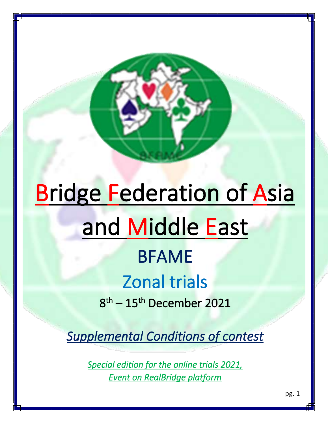# Bridge Federation of Asia and Middle East BFAME

j

è

# Zonal trials

8 th – 15th December 2021

*Supplemental Conditions of contest* 

*Special edition for the online trials 2021, Event on RealBridge platform*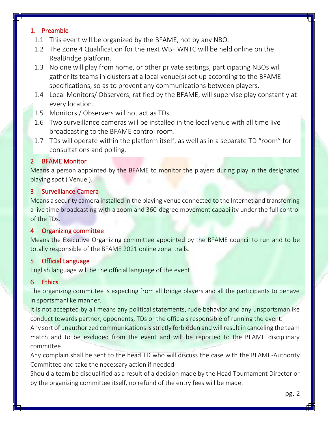#### 1. Preamble

- 1.1 This event will be organized by the BFAME, not by any NBO.
- 1.2 The Zone 4 Qualification for the next WBF WNTC will be held online on the RealBridge platform.
- 1.3 No one will play from home, or other private settings, participating NBOs will gather its teams in clusters at a local venue(s) set up according to the BFAME specifications, so as to prevent any communications between players.
- 1.4 Local Monitors/ Observers, ratified by the BFAME, will supervise play constantly at every location.
- 1.5 Monitors / Observers will not act as TDs.
- 1.6 Two surveillance cameras will be installed in the local venue with all time live broadcasting to the BFAME control room.
- 1.7 TDs will operate within the platform itself, as well as in a separate TD "room" for consultations and polling.

# 2 BFAME Monitor

Means a person appointed by the BFAME to monitor the players during play in the designated playing spot ( Venue ).

#### 3 Surveillance Camera

Means a security camera installed in the playing venue connected to the Internet and transferring a live time broadcasting with a zoom and 360-degree movement capability under the full control of the TDs.

#### 4 Organizing committee

Means the Executive Organizing committee appointed by the BFAME council to run and to be totally responsible of the BFAME 2021 online zonal trails.

#### 5 Official Language

English language will be the official language of the event.

# 6 Ethics

The organizing committee is expecting from all bridge players and all the participants to behave in sportsmanlike manner.

It is not accepted by all means any political statements, rude behavior and any unsportsmanlike conduct towards partner, opponents, TDs or the officials responsible of running the event.

Any sort of unauthorized communications is strictly forbidden and will result in canceling the team match and to be excluded from the event and will be reported to the BFAME disciplinary committee.

Any complain shall be sent to the head TD who will discuss the case with the BFAME-Authority Committee and take the necessary action if needed.

Should a team be disqualified as a result of a decision made by the Head Tournament Director or by the organizing committee itself, no refund of the entry fees will be made.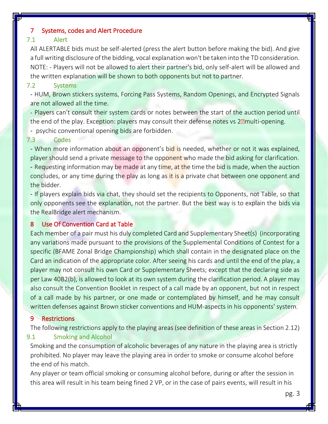#### 7 Systems, codes and Alert Procedure

#### 7.1 Alert

All ALERTABLE bids must be self-alerted (press the alert button before making the bid). And give a full writing disclosure of the bidding, vocal explanation won't be taken into the TD consideration. NOTE: - Players will not be allowed to alert their partner's bid, only self-alert will be allowed and the written explanation will be shown to both opponents but not to partner.

#### 7.2 Systems

- HUM, Brown stickers systems, Forcing Pass Systems, Random Openings, and Encrypted Signals are not allowed all the time.

- Players can't consult their system cards or notes between the start of the auction period until the end of the play. Exception: players may consult their defense notes vs 2<sup>2</sup> multi-opening.

- psychic conventional opening bids are forbidden.

#### 7.3 Codes

- When more information about an opponent's bid is needed, whether or not it was explained, player should send a private message to the opponent who made the bid asking for clarification. - Requesting information may be made at any time, at the time the bid is made, when the auction concludes, or any time during the play as long as it is a private chat between one opponent and the bidder.

- If players explain bids via chat, they should set the recipients to Opponents, not Table, so that only opponents see the explanation, not the partner. But the best way is to explain the bids via the RealBridge alert mechanism.

#### 8 Use Of Convention Card at Table

Each member of a pair must his duly completed Card and Supplementary Sheet(s) (incorporating any variations made pursuant to the provisions of the Supplemental Conditions of Contest for a specific (BFAME Zonal Bridge Championship) which shall contain in the designated place on the Card an indication of the appropriate color. After seeing his cards and until the end of the play, a player may not consult his own Card or Supplementary Sheets; except that the declaring side as per Law 40B2(b), is allowed to look at its own system during the clarification period. A player may also consult the Convention Booklet in respect of a call made by an opponent, but not in respect of a call made by his partner, or one made or contemplated by himself, and he may consult written defenses against Brown sticker conventions and HUM-aspects in his opponents' system.

#### 9 Restrictions

The following restrictions apply to the playing areas (see definition of these areas in Section 2.12) 9.1 Smoking and Alcohol

Smoking and the consumption of alcoholic beverages of any nature in the playing area is strictly prohibited. No player may leave the playing area in order to smoke or consume alcohol before the end of his match.

Any player or team official smoking or consuming alcohol before, during or after the session in this area will result in his team being fined 2 VP, or in the case of pairs events, will result in his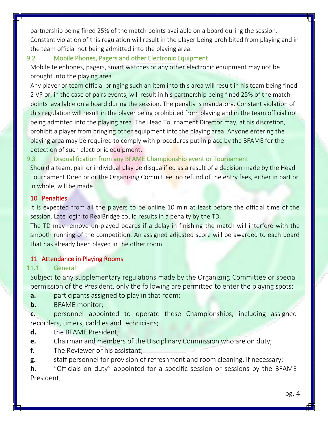partnership being fined 25% of the match points available on a board during the session. Constant violation of this regulation will result in the player being prohibited from playing and in the team official not being admitted into the playing area.

# 9.2 Mobile Phones, Pagers and other Electronic Equipment

Mobile telephones, pagers, smart watches or any other electronic equipment may not be brought into the playing area.

Any player or team official bringing such an item into this area will result in his team being fined 2 VP or, in the case of pairs events, will result in his partnership being fined 25% of the match points available on a board during the session. The penalty is mandatory. Constant violation of this regulation will result in the player being prohibited from playing and in the team official not being admitted into the playing area. The Head Tournament Director may, at his discretion, prohibit a player from bringing other equipment into the playing area. Anyone entering the playing area may be required to comply with procedures put in place by the BFAME for the detection of such electronic equipment.

# 9.3 Disqualification from any BFAME Championship event or Tournament

Should a team, pair or individual play be disqualified as a result of a decision made by the Head Tournament Director or the Organizing Committee, no refund of the entry fees, either in part or in whole, will be made.

# 10 Penalties

It is expected from all the players to be online 10 min at least before the official time of the session. Late login to RealBridge could results in a penalty by the TD.

The TD may remove un-played boards if a delay in finishing the match will interfere with the smooth running of the competition. An assigned adjusted score will be awarded to each board that has already been played in the other room.

# 11 Attendance in Playing Rooms

# 11.1 General

Subject to any supplementary regulations made by the Organizing Committee or special permission of the President, only the following are permitted to enter the playing spots:

- **a.** participants assigned to play in that room;
- **b.** BFAME monitor;

**c.** personnel appointed to operate these Championships, including assigned recorders, timers, caddies and technicians;

- **d.** the BFAME President;
- **e.** Chairman and members of the Disciplinary Commission who are on duty;
- **f.** The Reviewer or his assistant;
- **g.** staff personnel for provision of refreshment and room cleaning, if necessary;

**h.** "Officials on duty" appointed for a specific session or sessions by the BFAME President;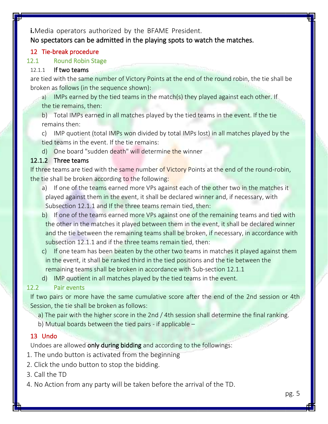**i.**Media operators authorized by the BFAME President. No spectators can be admitted in the playing spots to watch the matches.

# 12 Tie-break procedure

#### 12.1 Round Robin Stage

#### 12.1.1 If two teams

are tied with the same number of Victory Points at the end of the round robin, the tie shall be broken as follows (in the sequence shown):

a) IMPs earned by the tied teams in the match(s) they played against each other. If the tie remains, then:

b) Total IMPs earned in all matches played by the tied teams in the event. If the tie remains then:

c) IMP quotient (total IMPs won divided by total IMPs lost) in all matches played by the tied teams in the event. If the tie remains:

d) One board "sudden death" will determine the winner

#### 12.1.2 Three teams

If three teams are tied with the same number of Victory Points at the end of the round-robin, the tie shall be broken according to the following:

- a) If one of the teams earned more VPs against each of the other two in the matches it played against them in the event, it shall be declared winner and, if necessary, with Subsection 12.1.1 and If the three teams remain tied, then:
- b) If one of the teams earned more VPs against one of the remaining teams and tied with the other in the matches it played between them in the event, it shall be declared winner and the tie between the remaining teams shall be broken, if necessary, in accordance with subsection 12.1.1 and if the three teams remain tied, then:
- c) If one team has been beaten by the other two teams in matches it played against them in the event, it shall be ranked third in the tied positions and the tie between the remaining teams shall be broken in accordance with Sub‐section 12.1.1
- d) IMP quotient in all matches played by the tied teams in the event.

# 12.2 Pair events

If two pairs or more have the same cumulative score after the end of the 2nd session or 4th Session, the tie shall be broken as follows:

a) The pair with the higher score in the 2nd / 4th session shall determine the final ranking.

b) Mutual boards between the tied pairs - if applicable –

# 13 Undo

Undoes are allowed only during bidding and according to the followings:

- 1. The undo button is activated from the beginning
- 2. Click the undo button to stop the bidding.

3. Call the TD

4. No Action from any party will be taken before the arrival of the TD.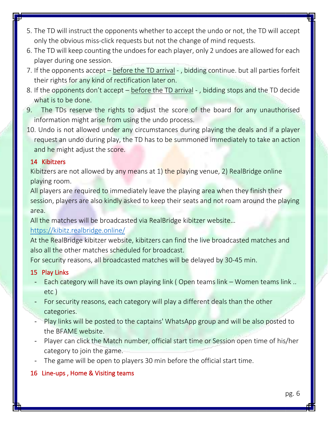- 5. The TD will instruct the opponents whether to accept the undo or not, the TD will accept only the obvious miss-click requests but not the change of mind requests.
- 6. The TD will keep counting the undoes for each player, only 2 undoes are allowed for each player during one session.
- 7. If the opponents accept before the TD arrival , bidding continue. but all parties forfeit their rights for any kind of rectification later on.
- 8. If the opponents don't accept before the TD arrival , bidding stops and the TD decide what is to be done.
- 9. The TDs reserve the rights to adjust the score of the board for any unauthorised information might arise from using the undo process.
- 10. Undo is not allowed under any circumstances during playing the deals and if a player request an undo during play, the TD has to be summoned immediately to take an action and he might adjust the score.

# 14 Kibitzers

Kibitzers are not allowed by any means at 1) the playing venue, 2) RealBridge online playing room.

All players are required to immediately leave the playing area when they finish their session, players are also kindly asked to keep their seats and not roam around the playing area.

All the matches will be broadcasted via RealBridge kibitzer website…

# <https://kibitz.realbridge.online/>

At the RealBridge kibitzer website, kibitzers can find the live broadcasted matches and also all the other matches scheduled for broadcast.

For security reasons, all broadcasted matches will be delayed by 30-45 min.

# 15 Play Links

- Each category will have its own playing link (Open teams link Women teams link ... etc )
- For security reasons, each category will play a different deals than the other categories.
- Play links will be posted to the captains' WhatsApp group and will be also posted to the BFAME website.
- Player can click the Match number, official start time or Session open time of his/her category to join the game.
- The game will be open to players 30 min before the official start time.

# 16 Line-ups , Home & Visiting teams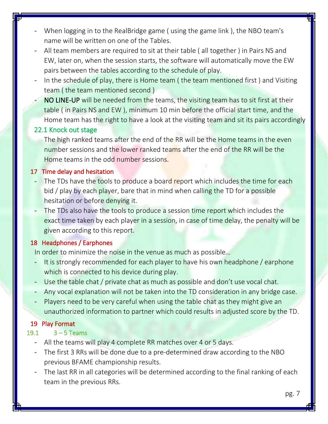- When logging in to the RealBridge game (using the game link), the NBO team's name will be written on one of the Tables.
- All team members are required to sit at their table ( all together ) in Pairs NS and EW, later on, when the session starts, the software will automatically move the EW pairs between the tables according to the schedule of play.
- In the schedule of play, there is Home team (the team mentioned first) and Visiting team ( the team mentioned second )
- NO LINE-UP will be needed from the teams, the visiting team has to sit first at their table ( in Pairs NS and EW ), minimum 10 min before the official start time, and the Home team has the right to have a look at the visiting team and sit its pairs accordingly

# 22.1 Knock out stage

The high ranked teams after the end of the RR will be the Home teams in the even number sessions and the lower ranked teams after the end of the RR will be the Home teams in the odd number sessions.

# 17 Time delay and hesitation

- The TDs have the tools to produce a board report which includes the time for each bid / play by each player, bare that in mind when calling the TD for a possible hesitation or before denying it.
- The TDs also have the tools to produce a session time report which includes the exact time taken by each player in a session, in case of time delay, the penalty will be given according to this report.

# 18 Headphones / Earphones

In order to minimize the noise in the venue as much as possible…

- It is strongly recommended for each player to have his own headphone / earphone which is connected to his device during play.
- Use the table chat / private chat as much as possible and don't use vocal chat.
- Any vocal explanation will not be taken into the TD consideration in any bridge case.
- Players need to be very careful when using the table chat as they might give an unauthorized information to partner which could results in adjusted score by the TD.

# 19 Play Format

# 19.1 3 – 5 Teams

- All the teams will play 4 complete RR matches over 4 or 5 days.
- The first 3 RRs will be done due to a pre-determined draw according to the NBO previous BFAME championship results.
- The last RR in all categories will be determined according to the final ranking of each team in the previous RRs.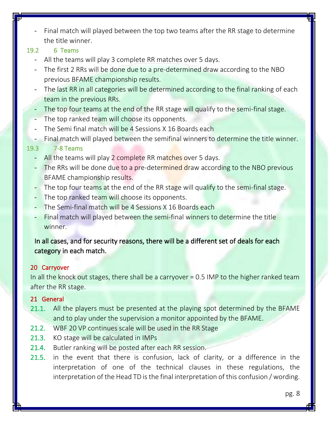Final match will played between the top two teams after the RR stage to determine the title winner.

# 19.2 6 Teams

- All the teams will play 3 complete RR matches over 5 days.
- The first 2 RRs will be done due to a pre-determined draw according to the NBO previous BFAME championship results.
- The last RR in all categories will be determined according to the final ranking of each team in the previous RRs.
- The top four teams at the end of the RR stage will qualify to the semi-final stage.
- The top ranked team will choose its opponents.
- The Semi final match will be 4 Sessions X 16 Boards each
- Final match will played between the semifinal winners to determine the title winner.

# 19.3 7-8 Teams

- All the teams will play 2 complete RR matches over 5 days.
- The RRs will be done due to a pre-determined draw according to the NBO previous BFAME championship results.
- The top four teams at the end of the RR stage will qualify to the semi-final stage.
- The top ranked team will choose its opponents.
- The Semi-final match will be 4 Sessions X 16 Boards each
- Final match will played between the semi-final winners to determine the title winner.

# In all cases, and for security reasons, there will be a different set of deals for each category in each match.

# 20 Carryover

In all the knock out stages, there shall be a carryover = 0.5 IMP to the higher ranked team after the RR stage.

# 21 General

- 21.1. All the players must be presented at the playing spot determined by the BFAME and to play under the supervision a monitor appointed by the BFAME.
- 21.2. WBF 20 VP continues scale will be used in the RR Stage
- 21.3. KO stage will be calculated in IMPs
- 21.4. Butler ranking will be posted after each RR session.
- 21.5. in the event that there is confusion, lack of clarity, or a difference in the interpretation of one of the technical clauses in these regulations, the interpretation of the Head TD is the final interpretation of this confusion / wording.